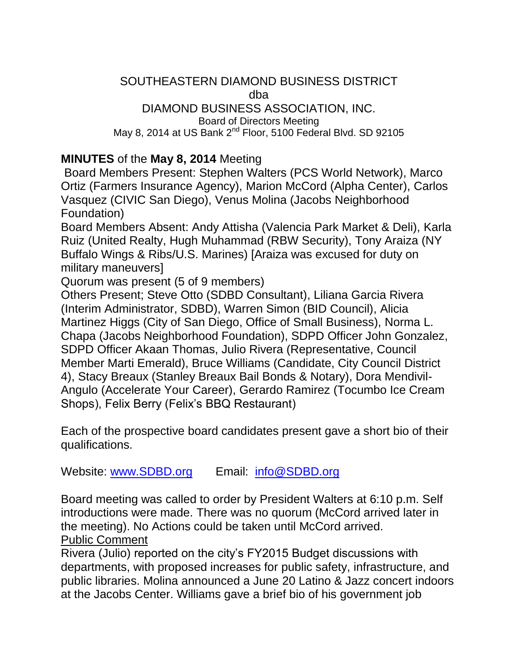#### SOUTHEASTERN DIAMOND BUSINESS DISTRICT dba DIAMOND BUSINESS ASSOCIATION, INC. Board of Directors Meeting

May 8, 2014 at US Bank  $2^{nd}$  Floor, 5100 Federal Blvd. SD 92105

### **MINUTES** of the **May 8, 2014** Meeting

Board Members Present: Stephen Walters (PCS World Network), Marco Ortiz (Farmers Insurance Agency), Marion McCord (Alpha Center), Carlos Vasquez (CIVIC San Diego), Venus Molina (Jacobs Neighborhood Foundation)

Board Members Absent: Andy Attisha (Valencia Park Market & Deli), Karla Ruiz (United Realty, Hugh Muhammad (RBW Security), Tony Araiza (NY Buffalo Wings & Ribs/U.S. Marines) [Araiza was excused for duty on military maneuvers]

Quorum was present (5 of 9 members)

Others Present; Steve Otto (SDBD Consultant), Liliana Garcia Rivera (Interim Administrator, SDBD), Warren Simon (BID Council), Alicia Martinez Higgs (City of San Diego, Office of Small Business), Norma L. Chapa (Jacobs Neighborhood Foundation), SDPD Officer John Gonzalez, SDPD Officer Akaan Thomas, Julio Rivera (Representative, Council Member Marti Emerald), Bruce Williams (Candidate, City Council District 4), Stacy Breaux (Stanley Breaux Bail Bonds & Notary), Dora Mendivil-Angulo (Accelerate Your Career), Gerardo Ramirez (Tocumbo Ice Cream Shops), Felix Berry (Felix's BBQ Restaurant)

Each of the prospective board candidates present gave a short bio of their qualifications.

Website: [www.SDBD.org](http://www.sdbd.org/) Email: [info@SDBD.org](mailto:info@SDBD.org)

Board meeting was called to order by President Walters at 6:10 p.m. Self introductions were made. There was no quorum (McCord arrived later in the meeting). No Actions could be taken until McCord arrived. Public Comment

Rivera (Julio) reported on the city's FY2015 Budget discussions with departments, with proposed increases for public safety, infrastructure, and public libraries. Molina announced a June 20 Latino & Jazz concert indoors at the Jacobs Center. Williams gave a brief bio of his government job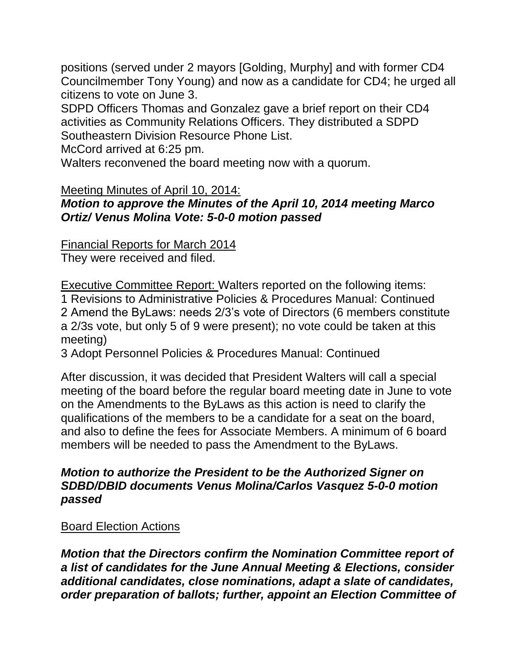positions (served under 2 mayors [Golding, Murphy] and with former CD4 Councilmember Tony Young) and now as a candidate for CD4; he urged all citizens to vote on June 3.

SDPD Officers Thomas and Gonzalez gave a brief report on their CD4 activities as Community Relations Officers. They distributed a SDPD Southeastern Division Resource Phone List.

McCord arrived at 6:25 pm.

Walters reconvened the board meeting now with a quorum.

Meeting Minutes of April 10, 2014:

# *Motion to approve the Minutes of the April 10, 2014 meeting Marco Ortiz/ Venus Molina Vote: 5-0-0 motion passed*

Financial Reports for March 2014

They were received and filed.

Executive Committee Report: Walters reported on the following items: 1 Revisions to Administrative Policies & Procedures Manual: Continued 2 Amend the ByLaws: needs 2/3's vote of Directors (6 members constitute a 2/3s vote, but only 5 of 9 were present); no vote could be taken at this meeting)

3 Adopt Personnel Policies & Procedures Manual: Continued

After discussion, it was decided that President Walters will call a special meeting of the board before the regular board meeting date in June to vote on the Amendments to the ByLaws as this action is need to clarify the qualifications of the members to be a candidate for a seat on the board, and also to define the fees for Associate Members. A minimum of 6 board members will be needed to pass the Amendment to the ByLaws.

### *Motion to authorize the President to be the Authorized Signer on SDBD/DBID documents Venus Molina/Carlos Vasquez 5-0-0 motion passed*

# Board Election Actions

*Motion that the Directors confirm the Nomination Committee report of a list of candidates for the June Annual Meeting & Elections, consider additional candidates, close nominations, adapt a slate of candidates, order preparation of ballots; further, appoint an Election Committee of*